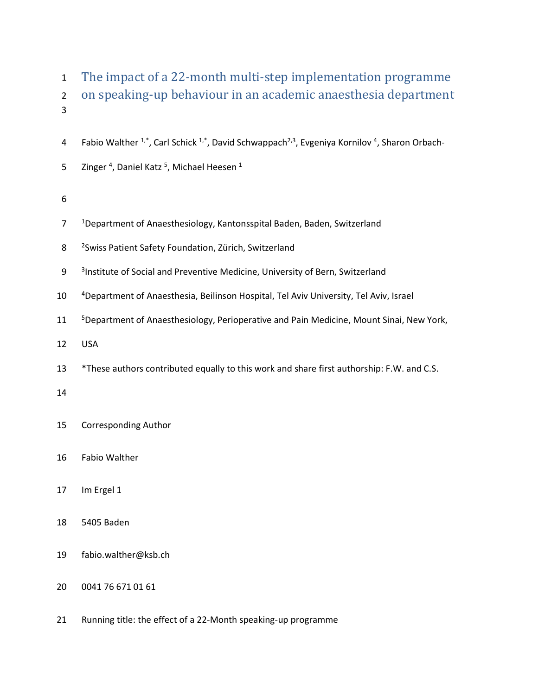| $\mathbf{1}$<br>$\overline{2}$<br>3 | The impact of a 22-month multi-step implementation programme<br>on speaking-up behaviour in an academic anaesthesia department                |
|-------------------------------------|-----------------------------------------------------------------------------------------------------------------------------------------------|
| 4                                   | Fabio Walther <sup>1,*</sup> , Carl Schick <sup>1,*</sup> , David Schwappach <sup>2,3</sup> , Evgeniya Kornilov <sup>4</sup> , Sharon Orbach- |
| 5                                   | Zinger <sup>4</sup> , Daniel Katz <sup>5</sup> , Michael Heesen <sup>1</sup>                                                                  |
| 6                                   |                                                                                                                                               |
| 7                                   | <sup>1</sup> Department of Anaesthesiology, Kantonsspital Baden, Baden, Switzerland                                                           |
| 8                                   | <sup>2</sup> Swiss Patient Safety Foundation, Zürich, Switzerland                                                                             |
| $\boldsymbol{9}$                    | <sup>3</sup> Institute of Social and Preventive Medicine, University of Bern, Switzerland                                                     |
| 10                                  | <sup>4</sup> Department of Anaesthesia, Beilinson Hospital, Tel Aviv University, Tel Aviv, Israel                                             |
| 11                                  | <sup>5</sup> Department of Anaesthesiology, Perioperative and Pain Medicine, Mount Sinai, New York,                                           |
| 12                                  | <b>USA</b>                                                                                                                                    |
| 13                                  | *These authors contributed equally to this work and share first authorship: F.W. and C.S.                                                     |
| 14                                  |                                                                                                                                               |
| 15                                  | <b>Corresponding Author</b>                                                                                                                   |
| 16                                  | Fabio Walther                                                                                                                                 |
| 17                                  | Im Ergel 1                                                                                                                                    |
| 18                                  | 5405 Baden                                                                                                                                    |
| 19                                  | fabio.walther@ksb.ch                                                                                                                          |
| 20                                  | 0041 76 671 01 61                                                                                                                             |
| 21                                  | Running title: the effect of a 22-Month speaking-up programme                                                                                 |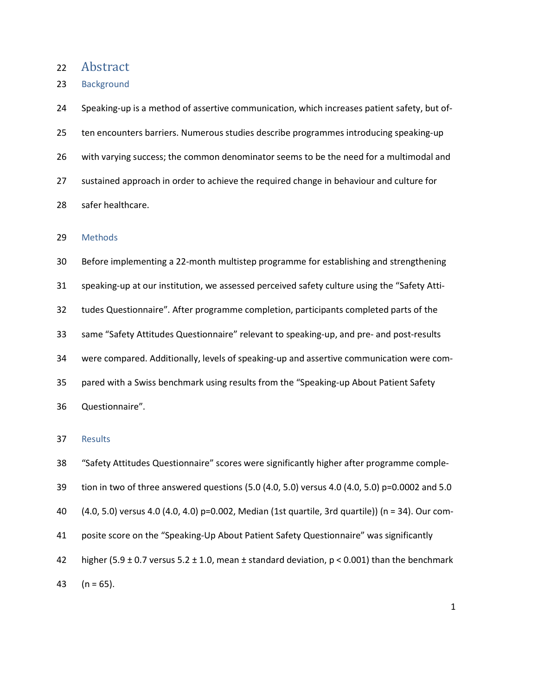## 22 Abstract

23 Background

24 Speaking-up is a method of assertive communication, which increases patient safety, but of-25 ten encounters barriers. Numerous studies describe programmes introducing speaking-up 26 with varying success; the common denominator seems to be the need for a multimodal and 27 sustained approach in order to achieve the required change in behaviour and culture for 28 safer healthcare.

#### 29 Methods

30 Before implementing a 22-month multistep programme for establishing and strengthening 31 speaking-up at our institution, we assessed perceived safety culture using the "Safety Atti-32 tudes Questionnaire". After programme completion, participants completed parts of the 33 same "Safety Attitudes Questionnaire" relevant to speaking-up, and pre- and post-results 34 were compared. Additionally, levels of speaking-up and assertive communication were com-35 pared with a Swiss benchmark using results from the "Speaking-up About Patient Safety 36 Questionnaire".

## 37 Results

- 38 "Safety Attitudes Questionnaire" scores were significantly higher after programme comple-
- 39 tion in two of three answered questions (5.0 (4.0, 5.0) versus 4.0 (4.0, 5.0) p=0.0002 and 5.0
- 40 (4.0, 5.0) versus 4.0 (4.0, 4.0) p=0.002, Median (1st quartile, 3rd quartile)) (n = 34). Our com-
- 41 posite score on the "Speaking-Up About Patient Safety Questionnaire" was significantly
- 42 higher (5.9  $\pm$  0.7 versus 5.2  $\pm$  1.0, mean  $\pm$  standard deviation, p < 0.001) than the benchmark

43  $(n = 65)$ .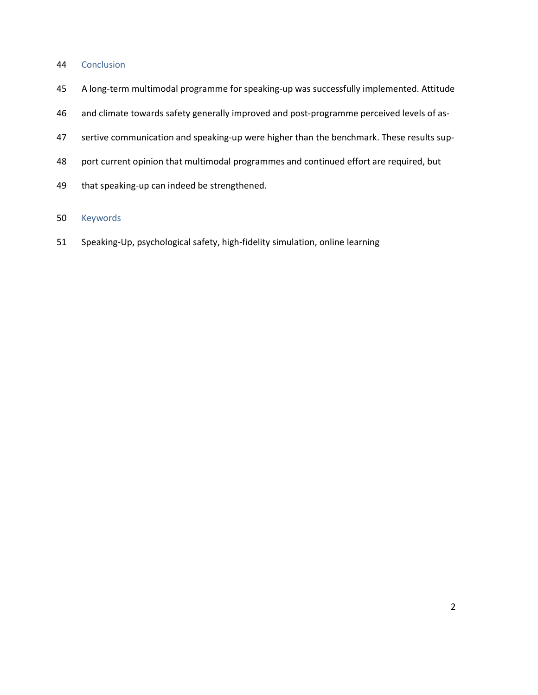# 44 Conclusion

- 45 A long-term multimodal programme for speaking-up was successfully implemented. Attitude
- 46 and climate towards safety generally improved and post-programme perceived levels of as-
- 47 sertive communication and speaking-up were higher than the benchmark. These results sup-
- 48 port current opinion that multimodal programmes and continued effort are required, but
- 49 that speaking-up can indeed be strengthened.

# 50 Keywords

51 Speaking-Up, psychological safety, high-fidelity simulation, online learning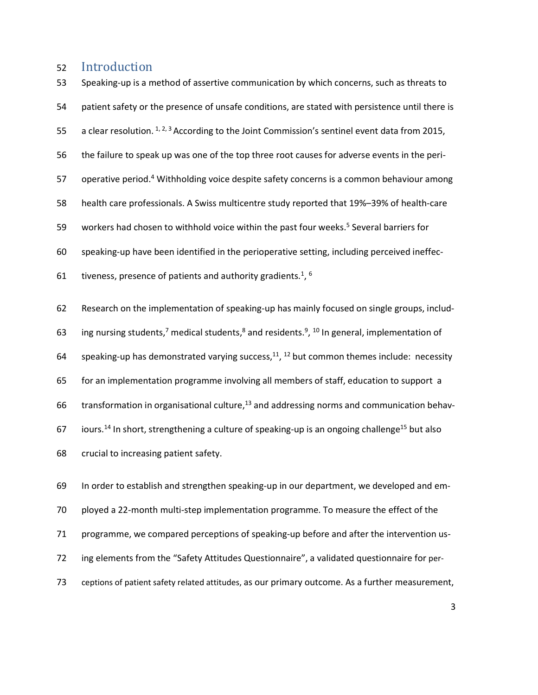# 52 Introduction

53 Speaking-up is a method of assertive communication by which concerns, such as threats to 54 patient safety or the presence of unsafe conditions, are stated with persistence until there is 55 a clear resolution.  $1, 2, 3$  According to the Joint Commission's sentinel event data from 2015, 56 the failure to speak up was one of the top three root causes for adverse events in the peri-57 operative period.<sup>4</sup> Withholding voice despite safety concerns is a common behaviour among 58 health care professionals. A Swiss multicentre study reported that 19%–39% of health-care 59 workers had chosen to withhold voice within the past four weeks.<sup>5</sup> Several barriers for 60 speaking-up have been identified in the perioperative setting, including perceived ineffec-61 tiveness, presence of patients and authority gradients.<sup>1</sup>,  $^6$  $\frac{6}{2}$ 62 Research on the implementation of speaking-up has mainly focused on single groups, includ-63 ing nursing students,<sup>7</sup> medical students,<sup>8</sup> and residents.<sup>9</sup>, <sup>10</sup> In general, implementation of 64 speaking-up has demonstrated varying success,<sup>11</sup>, <sup>12</sup> but common themes include: necessity 65 for an implementation programme involving all members of staff, education to support a 66 transformation in organisational culture, $13$  and addressing norms and communication behav-67 iours.<sup>14</sup> In short, strengthening a culture of speaking-up is an ongoing challenge<sup>15</sup> but also 68 crucial to increasing patient safety.

69 In order to establish and strengthen speaking-up in our department, we developed and em-70 ployed a 22-month multi-step implementation programme. To measure the effect of the 71 programme, we compared perceptions of speaking-up before and after the intervention us-72 ing elements from the "Safety Attitudes Questionnaire", a validated questionnaire for per-73 ceptions of patient safety related attitudes, as our primary outcome. As a further measurement,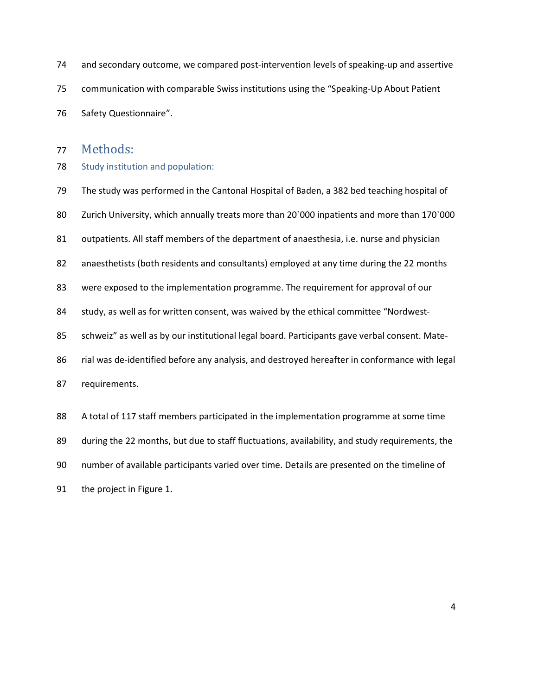- 74 and secondary outcome, we compared post-intervention levels of speaking-up and assertive 75 communication with comparable Swiss institutions using the "Speaking-Up About Patient 76 Safety Questionnaire".
- 

# 77 Methods:

#### 78 Study institution and population:

- 79 The study was performed in the Cantonal Hospital of Baden, a 382 bed teaching hospital of
- 80 Zurich University, which annually treats more than 20`000 inpatients and more than 170`000
- 81 outpatients. All staff members of the department of anaesthesia, i.e. nurse and physician
- 82 anaesthetists (both residents and consultants) employed at any time during the 22 months
- 83 were exposed to the implementation programme. The requirement for approval of our
- 84 study, as well as for written consent, was waived by the ethical committee "Nordwest-
- 85 schweiz" as well as by our institutional legal board. Participants gave verbal consent. Mate-
- 86 rial was de-identified before any analysis, and destroyed hereafter in conformance with legal

87 requirements.

- 88 A total of 117 staff members participated in the implementation programme at some time
- 89 during the 22 months, but due to staff fluctuations, availability, and study requirements, the
- 90 number of available participants varied over time. Details are presented on the timeline of

91 the project in Figure 1.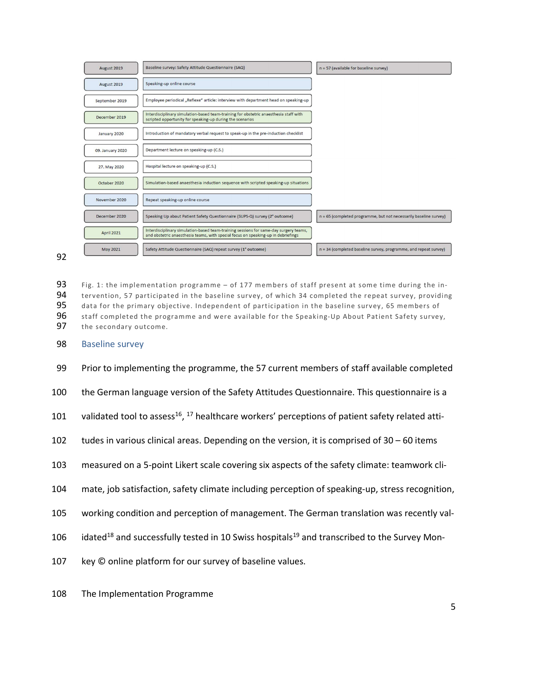

93 Fig. 1: the implementation programme – of 177 members of staff present at some time during the in-94 tervention, 57 participated in the baseline survey, of which 34 completed the repeat survey, providing 95 data for the primary objective. Independent of participation in the baseline survey, 65 members of 96 staff completed the programme and were available for the Speaking-Up About Patient Safety survey, 97 the secondary outcome.

- 98 Baseline survey
- 99 Prior to implementing the programme, the 57 current members of staff available completed
- 100 the German language version of the Safety Attitudes Questionnaire. This questionnaire is a
- 101 validated tool to assess<sup>16</sup>, <sup>17</sup> healthcare workers' perceptions of patient safety related atti-
- 102 tudes in various clinical areas. Depending on the version, it is comprised of  $30 60$  items
- 103 measured on a 5-point Likert scale covering six aspects of the safety climate: teamwork cli-
- 104 mate, job satisfaction, safety climate including perception of speaking-up, stress recognition,
- 105 working condition and perception of management. The German translation was recently val-
- 106 idated<sup>18</sup> and successfully tested in 10 Swiss hospitals<sup>19</sup> and transcribed to the Survey Mon-
- 107 key © online platform for our survey of baseline values.
- 108 The Implementation Programme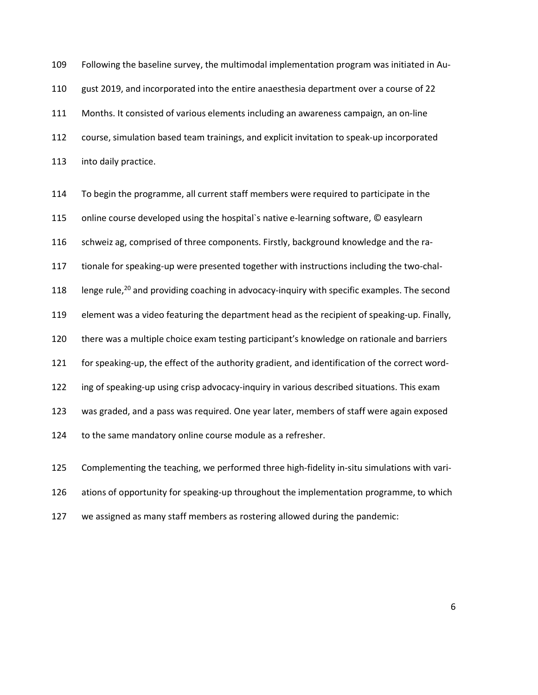109 Following the baseline survey, the multimodal implementation program was initiated in Au-110 gust 2019, and incorporated into the entire anaesthesia department over a course of 22 111 Months. It consisted of various elements including an awareness campaign, an on-line 112 course, simulation based team trainings, and explicit invitation to speak-up incorporated 113 into daily practice.

114 To begin the programme, all current staff members were required to participate in the 115 online course developed using the hospital`s native e-learning software, © easylearn 116 schweiz ag, comprised of three components. Firstly, background knowledge and the ra-117 tionale for speaking-up were presented together with instructions including the two-chal-118 lenge rule,<sup>20</sup> and providing coaching in advocacy-inquiry with specific examples. The second 119 element was a video featuring the department head as the recipient of speaking-up. Finally, 120 there was a multiple choice exam testing participant's knowledge on rationale and barriers 121 for speaking-up, the effect of the authority gradient, and identification of the correct word-122 ing of speaking-up using crisp advocacy-inquiry in various described situations. This exam 123 was graded, and a pass was required. One year later, members of staff were again exposed 124 to the same mandatory online course module as a refresher. 125 Complementing the teaching, we performed three high-fidelity in-situ simulations with vari-

126 ations of opportunity for speaking-up throughout the implementation programme, to which 127 we assigned as many staff members as rostering allowed during the pandemic:

 $\sim$  6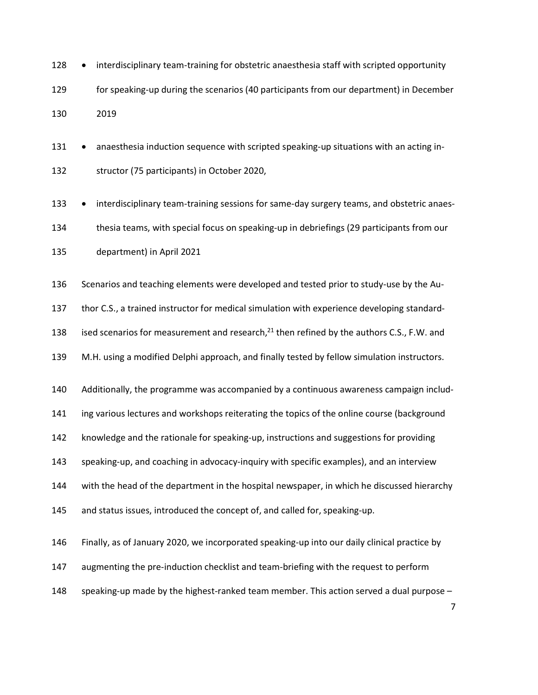- 128 interdisciplinary team-training for obstetric anaesthesia staff with scripted opportunity 129 for speaking-up during the scenarios (40 participants from our department) in December 130 2019
- 131 anaesthesia induction sequence with scripted speaking-up situations with an acting in-132 structor (75 participants) in October 2020,
- 133 interdisciplinary team-training sessions for same-day surgery teams, and obstetric anaes-134 thesia teams, with special focus on speaking-up in debriefings (29 participants from our 135 department) in April 2021
- 136 Scenarios and teaching elements were developed and tested prior to study-use by the Au-

137 thor C.S., a trained instructor for medical simulation with experience developing standard-

138 ised scenarios for measurement and research, $^{21}$  then refined by the authors C.S., F.W. and

139 M.H. using a modified Delphi approach, and finally tested by fellow simulation instructors.

140 Additionally, the programme was accompanied by a continuous awareness campaign includ-

141 ing various lectures and workshops reiterating the topics of the online course (background

142 knowledge and the rationale for speaking-up, instructions and suggestions for providing

143 speaking-up, and coaching in advocacy-inquiry with specific examples), and an interview

144 with the head of the department in the hospital newspaper, in which he discussed hierarchy

145 and status issues, introduced the concept of, and called for, speaking-up.

146 Finally, as of January 2020, we incorporated speaking-up into our daily clinical practice by

- 147 augmenting the pre-induction checklist and team-briefing with the request to perform
- 148 speaking-up made by the highest-ranked team member. This action served a dual purpose –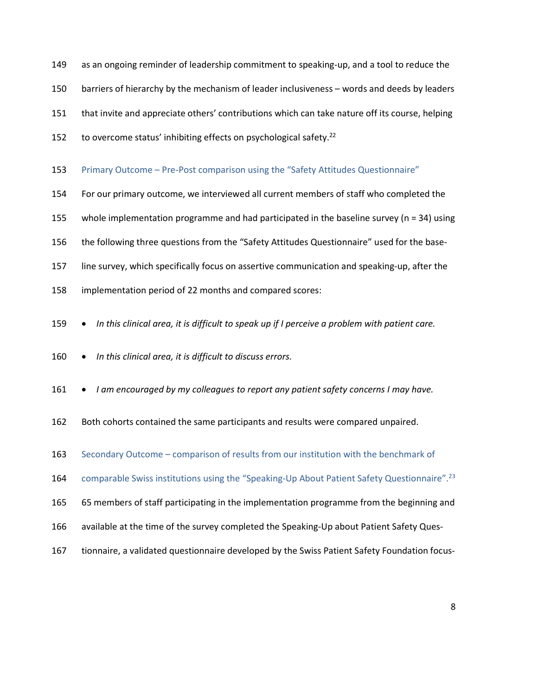- 149 as an ongoing reminder of leadership commitment to speaking-up, and a tool to reduce the
- 150 barriers of hierarchy by the mechanism of leader inclusiveness words and deeds by leaders
- 151 that invite and appreciate others' contributions which can take nature off its course, helping
- 
- to overcome status' inhibiting effects on psychological safety.<sup>22</sup><br>153 Primary Outcome Pre-Post comparison using the "Safety Attitudes Questionnaire"
- 154 For our primary outcome, we interviewed all current members of staff who completed the
- 155 whole implementation programme and had participated in the baseline survey (n = 34) using
- 156 the following three questions from the "Safety Attitudes Questionnaire" used for the base-
- 157 line survey, which specifically focus on assertive communication and speaking-up, after the
- 158 implementation period of 22 months and compared scores:
- 
- 
- In this clinical area, it is difficult to speak up if I perceive a problem with patient care.<br>160 In this clinical area, it is difficult to discuss errors.<br>161 I am encouraged by my colleagues to report any patient s
- 162 Both cohorts contained the same participants and results were compared unpaired.
- 163 Secondary Outcome comparison of results from our institution with the benchmark of
- comparable Swiss institutions using the "Speaking-Up About Patient Safety Questionnaire".<sup>23</sup><br>165 65 members of staff participating in the implementation programme from the beginning and
- 
- 166 available at the time of the survey completed the Speaking-Up about Patient Safety Ques-
- 167 tionnaire, a validated questionnaire developed by the Swiss Patient Safety Foundation focus-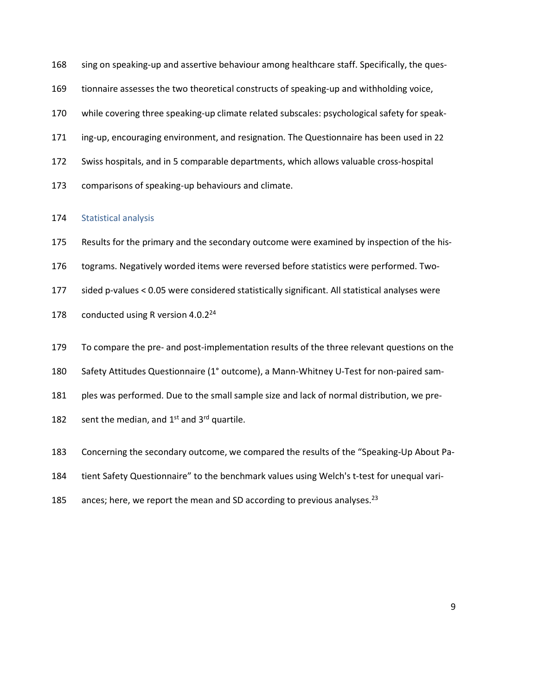- 168 sing on speaking-up and assertive behaviour among healthcare staff. Specifically, the ques-
- 169 tionnaire assesses the two theoretical constructs of speaking-up and withholding voice,
- 170 while covering three speaking-up climate related subscales: psychological safety for speak-
- 171 ing-up, encouraging environment, and resignation. The Questionnaire has been used in 22
- 172 Swiss hospitals, and in 5 comparable departments, which allows valuable cross-hospital
- 173 comparisons of speaking-up behaviours and climate.

#### 174 Statistical analysis

- 175 Results for the primary and the secondary outcome were examined by inspection of the his-
- 176 tograms. Negatively worded items were reversed before statistics were performed. Two-
- 177 sided p-values < 0.05 were considered statistically significant. All statistical analyses were
- 178 conducted using R version  $4.0.2<sup>24</sup>$
- 179 To compare the pre- and post-implementation results of the three relevant questions on the
- 180 Safety Attitudes Questionnaire (1° outcome), a Mann-Whitney U-Test for non-paired sam-
- 181 ples was performed. Due to the small sample size and lack of normal distribution, we pre-
- 182 sent the median, and  $1<sup>st</sup>$  and  $3<sup>rd</sup>$  quartile.
- 183 Concerning the secondary outcome, we compared the results of the "Speaking-Up About Pa-
- 184 tient Safety Questionnaire" to the benchmark values using Welch's t-test for unequal vari-
- 185 ances; here, we report the mean and SD according to previous analyses.<sup>23</sup>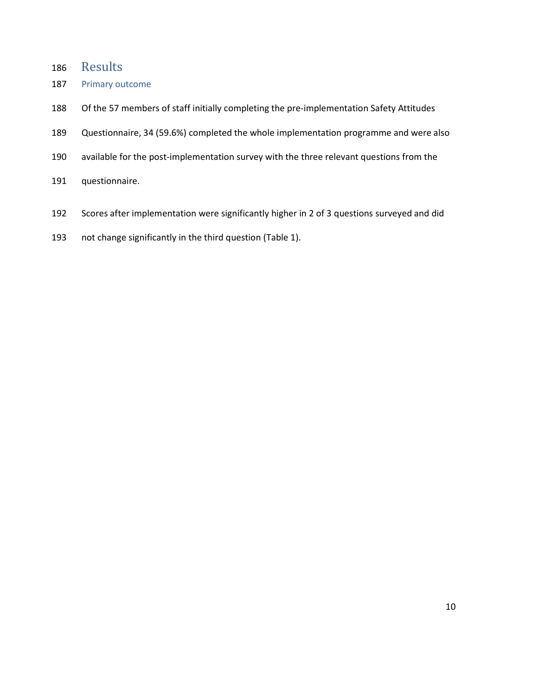- 186 Results
- 187 Primary outcome
- 188 Of the 57 members of staff initially completing the pre-implementation Safety Attitudes
- 189 Questionnaire, 34 (59.6%) completed the whole implementation programme and were also
- 190 available for the post-implementation survey with the three relevant questions from the
- 191 questionnaire.
- 192 Scores after implementation were significantly higher in 2 of 3 questions surveyed and did
- 193 not change significantly in the third question (Table 1).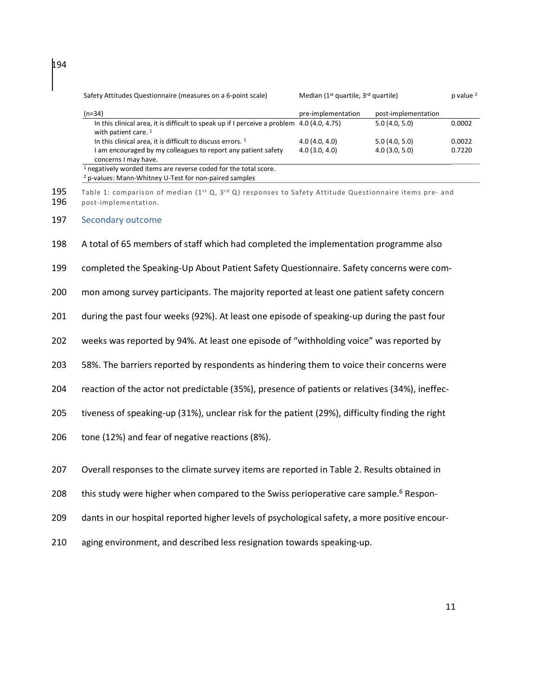| Safety Attitudes Questionnaire (measures on a 6-point scale)                                                                                     | Median (1 <sup>st</sup> quartile, 3 <sup>rd</sup> quartile) |                     | $p$ value $2$ |
|--------------------------------------------------------------------------------------------------------------------------------------------------|-------------------------------------------------------------|---------------------|---------------|
| $(n=34)$                                                                                                                                         | pre-implementation                                          | post-implementation |               |
| In this clinical area, it is difficult to speak up if I perceive a problem 4.0 (4.0, 4.75)<br>with patient care. $1$                             |                                                             | 5.0(4.0, 5.0)       | 0.0002        |
| In this clinical area, it is difficult to discuss errors. <sup>1</sup>                                                                           | 4.0(4.0, 4.0)                                               | 5.0(4.0, 5.0)       | 0.0022        |
| I am encouraged by my colleagues to report any patient safety<br>concerns I may have.                                                            | 4.0(3.0, 4.0)                                               | 4.0(3.0, 5.0)       | 0.7220        |
| <sup>1</sup> negatively worded items are reverse coded for the total score.<br><sup>2</sup> p-values: Mann-Whitney U-Test for non-paired samples |                                                             |                     |               |

195 Table 1: comparison of median (1<sup>st</sup> Q, 3<sup>rd</sup> Q) responses to Safety Attitude Questionnaire items pre- and 196 post-implementation. post-implementation.

#### 197 Secondary outcome

198 A total of 65 members of staff which had completed the implementation programme also

199 completed the Speaking-Up About Patient Safety Questionnaire. Safety concerns were com-

200 mon among survey participants. The majority reported at least one patient safety concern

201 during the past four weeks (92%). At least one episode of speaking-up during the past four

202 weeks was reported by 94%. At least one episode of "withholding voice" was reported by

203 58%. The barriers reported by respondents as hindering them to voice their concerns were

204 reaction of the actor not predictable (35%), presence of patients or relatives (34%), ineffec-

205 tiveness of speaking-up (31%), unclear risk for the patient (29%), difficulty finding the right

206 tone (12%) and fear of negative reactions (8%).

207 Overall responses to the climate survey items are reported in Table 2. Results obtained in

208 this study were higher when compared to the Swiss perioperative care sample.<sup>6</sup> Respon-

209 dants in our hospital reported higher levels of psychological safety, a more positive encour-

210 aging environment, and described less resignation towards speaking-up.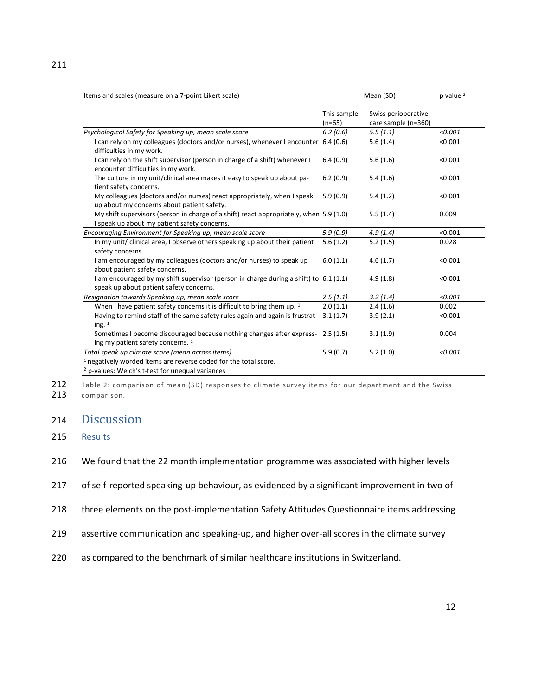| Items and scales (measure on a 7-point Likert scale) | Mean (SD) | p value <sup>2</sup> |
|------------------------------------------------------|-----------|----------------------|
|------------------------------------------------------|-----------|----------------------|

|                                                                                                                                            | This sample<br>$(n=65)$ | Swiss perioperative<br>care sample (n=360) |         |
|--------------------------------------------------------------------------------------------------------------------------------------------|-------------------------|--------------------------------------------|---------|
| Psychological Safety for Speaking up, mean scale score                                                                                     | 6.2(0.6)                | 5.5(1.1)                                   | < 0.001 |
| I can rely on my colleagues (doctors and/or nurses), whenever I encounter 6.4 (0.6)<br>difficulties in my work.                            |                         | 5.6(1.4)                                   | < 0.001 |
| I can rely on the shift supervisor (person in charge of a shift) whenever I<br>encounter difficulties in my work.                          | 6.4(0.9)                | 5.6(1.6)                                   | < 0.001 |
| The culture in my unit/clinical area makes it easy to speak up about pa-<br>tient safety concerns.                                         | 6.2(0.9)                | 5.4(1.6)                                   | < 0.001 |
| My colleagues (doctors and/or nurses) react appropriately, when I speak<br>up about my concerns about patient safety.                      | 5.9(0.9)                | 5.4(1.2)                                   | < 0.001 |
| My shift supervisors (person in charge of a shift) react appropriately, when 5.9 (1.0)<br>I speak up about my patient safety concerns.     |                         | 5.5(1.4)                                   | 0.009   |
| Encouraging Environment for Speaking up, mean scale score                                                                                  | 5.9(0.9)                | 4.9(1.4)                                   | < 0.001 |
| In my unit/ clinical area, I observe others speaking up about their patient<br>safety concerns.                                            | 5.6(1.2)                | 5.2(1.5)                                   | 0.028   |
| I am encouraged by my colleagues (doctors and/or nurses) to speak up<br>about patient safety concerns.                                     | 6.0(1.1)                | 4.6(1.7)                                   | < 0.001 |
| I am encouraged by my shift supervisor (person in charge during a shift) to 6.1 (1.1)<br>speak up about patient safety concerns.           |                         | 4.9(1.8)                                   | < 0.001 |
| Resignation towards Speaking up, mean scale score                                                                                          | 2.5(1.1)                | 3.2(1.4)                                   | < 0.001 |
| When I have patient safety concerns it is difficult to bring them up. <sup>1</sup>                                                         | 2.0(1.1)                | 2.4(1.6)                                   | 0.002   |
| Having to remind staff of the same safety rules again and again is frustrat-<br>ing. $1$                                                   | 3.1(1.7)                | 3.9(2.1)                                   | < 0.001 |
| Sometimes I become discouraged because nothing changes after express- 2.5 (1.5)<br>ing my patient safety concerns. 1                       |                         | 3.1(1.9)                                   | 0.004   |
| Total speak up climate score (mean across items)                                                                                           | 5.9(0.7)                | 5.2(1.0)                                   | < 0.001 |
| <sup>1</sup> negatively worded items are reverse coded for the total score.<br><sup>2</sup> p-values: Welch's t-test for unequal variances |                         |                                            |         |

212 Table 2: comparison of mean (SD) responses to climate survey items for our department and the Swiss

213 comparison.

# 214 Discussion

# 215 Results

216 We found that the 22 month implementation programme was associated with higher levels

217 of self-reported speaking-up behaviour, as evidenced by a significant improvement in two of

- 218 three elements on the post-implementation Safety Attitudes Questionnaire items addressing
- 219 assertive communication and speaking-up, and higher over-all scores in the climate survey
- 220 as compared to the benchmark of similar healthcare institutions in Switzerland.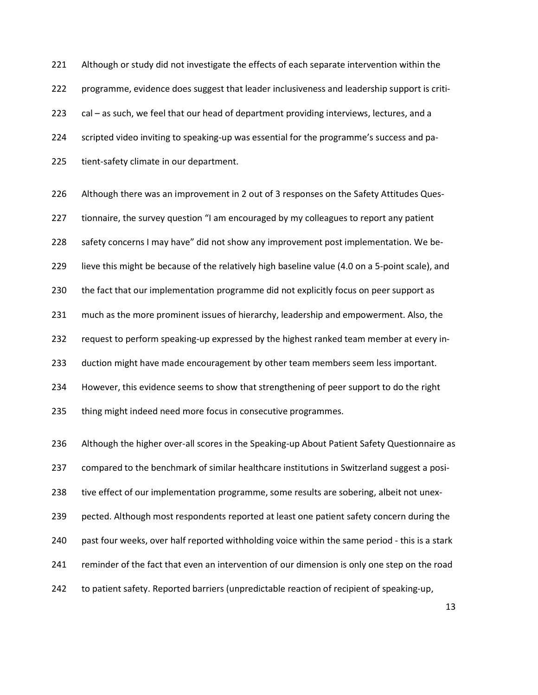221 Although or study did not investigate the effects of each separate intervention within the 222 programme, evidence does suggest that leader inclusiveness and leadership support is criti-223 cal – as such, we feel that our head of department providing interviews, lectures, and a 224 scripted video inviting to speaking-up was essential for the programme's success and pa-225 tient-safety climate in our department.

226 Although there was an improvement in 2 out of 3 responses on the Safety Attitudes Ques-227 tionnaire, the survey question "I am encouraged by my colleagues to report any patient 228 safety concerns I may have" did not show any improvement post implementation. We be-229 lieve this might be because of the relatively high baseline value (4.0 on a 5-point scale), and 230 the fact that our implementation programme did not explicitly focus on peer support as 231 much as the more prominent issues of hierarchy, leadership and empowerment. Also, the 232 request to perform speaking-up expressed by the highest ranked team member at every in-233 duction might have made encouragement by other team members seem less important. 234 However, this evidence seems to show that strengthening of peer support to do the right 235 thing might indeed need more focus in consecutive programmes. 236 Although the higher over-all scores in the Speaking-up About Patient Safety Questionnaire as

237 compared to the benchmark of similar healthcare institutions in Switzerland suggest a posi-

238 tive effect of our implementation programme, some results are sobering, albeit not unex-

239 pected. Although most respondents reported at least one patient safety concern during the

240 past four weeks, over half reported withholding voice within the same period - this is a stark

- 241 reminder of the fact that even an intervention of our dimension is only one step on the road
- 242 to patient safety. Reported barriers (unpredictable reaction of recipient of speaking-up,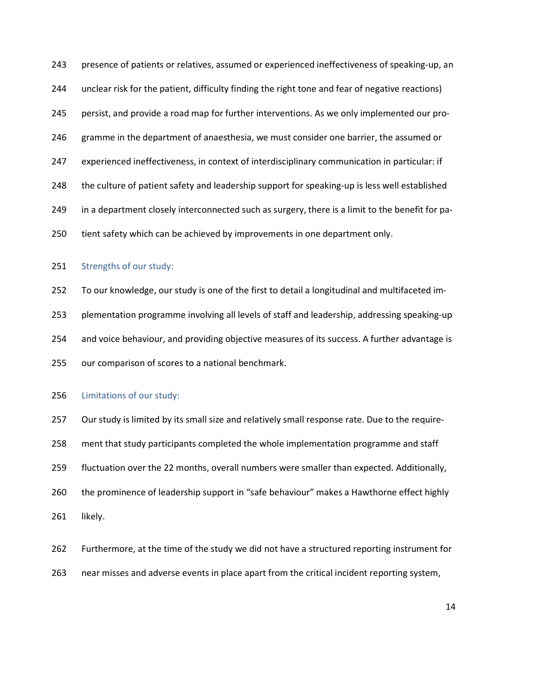243 presence of patients or relatives, assumed or experienced ineffectiveness of speaking-up, an 244 unclear risk for the patient, difficulty finding the right tone and fear of negative reactions) 245 persist, and provide a road map for further interventions. As we only implemented our pro-246 gramme in the department of anaesthesia, we must consider one barrier, the assumed or 247 experienced ineffectiveness, in context of interdisciplinary communication in particular: if 248 the culture of patient safety and leadership support for speaking-up is less well established 249 in a department closely interconnected such as surgery, there is a limit to the benefit for pa-250 tient safety which can be achieved by improvements in one department only.

#### 251 Strengths of our study:

252 To our knowledge, our study is one of the first to detail a longitudinal and multifaceted im-253 plementation programme involving all levels of staff and leadership, addressing speaking-up 254 and voice behaviour, and providing objective measures of its success. A further advantage is 255 our comparison of scores to a national benchmark.

#### 256 Limitations of our study:

257 Our study is limited by its small size and relatively small response rate. Due to the require-258 ment that study participants completed the whole implementation programme and staff 259 fluctuation over the 22 months, overall numbers were smaller than expected. Additionally, 260 the prominence of leadership support in "safe behaviour" makes a Hawthorne effect highly 261 likely.

- 262 Furthermore, at the time of the study we did not have a structured reporting instrument for
- 263 near misses and adverse events in place apart from the critical incident reporting system,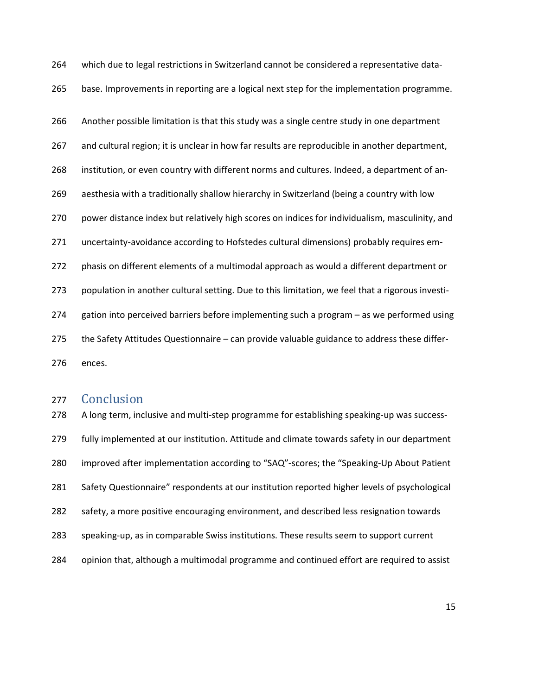265 base. Improvements in reporting are a logical next step for the implementation programme. 266 Another possible limitation is that this study was a single centre study in one department 267 and cultural region; it is unclear in how far results are reproducible in another department, 268 institution, or even country with different norms and cultures. Indeed, a department of an-269 aesthesia with a traditionally shallow hierarchy in Switzerland (being a country with low 270 power distance index but relatively high scores on indices for individualism, masculinity, and 271 uncertainty-avoidance according to Hofstedes cultural dimensions) probably requires em-272 phasis on different elements of a multimodal approach as would a different department or 273 population in another cultural setting. Due to this limitation, we feel that a rigorous investi-274 gation into perceived barriers before implementing such a program – as we performed using 275 the Safety Attitudes Questionnaire – can provide valuable guidance to address these differ-276 ences.

264 which due to legal restrictions in Switzerland cannot be considered a representative data-

# 277 Conclusion

278 A long term, inclusive and multi-step programme for establishing speaking-up was success-279 fully implemented at our institution. Attitude and climate towards safety in our department 280 improved after implementation according to "SAQ"-scores; the "Speaking-Up About Patient 281 Safety Questionnaire" respondents at our institution reported higher levels of psychological 282 safety, a more positive encouraging environment, and described less resignation towards 283 speaking-up, as in comparable Swiss institutions. These results seem to support current 284 opinion that, although a multimodal programme and continued effort are required to assist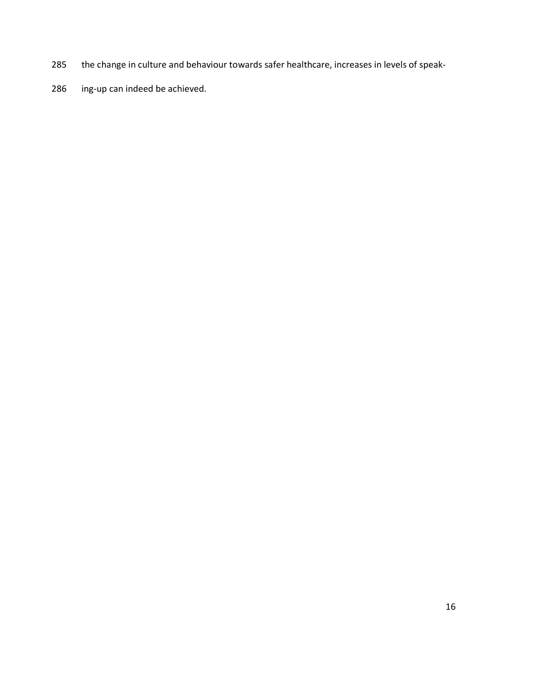- 285 the change in culture and behaviour towards safer healthcare, increases in levels of speak-
- 286 ing-up can indeed be achieved.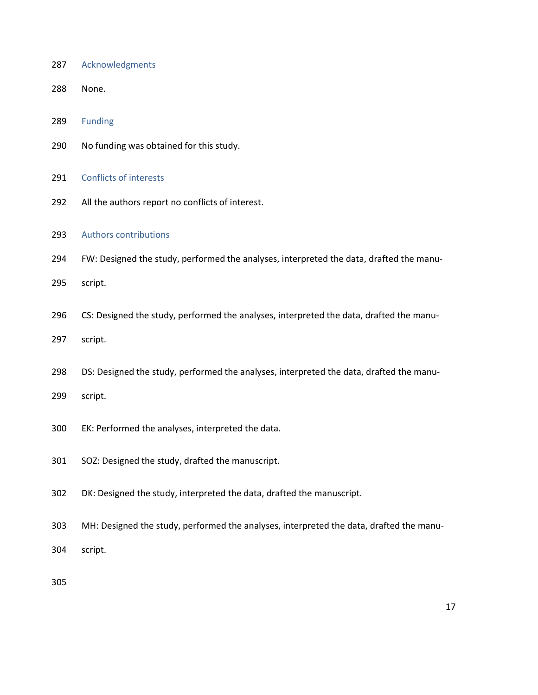- 287 Acknowledgments
- 288 None.

289 Funding

- 290 No funding was obtained for this study.
- 291 Conflicts of interests
- 292 All the authors report no conflicts of interest.
- 293 Authors contributions
- 294 FW: Designed the study, performed the analyses, interpreted the data, drafted the manu-
- 295 script.
- 296 CS: Designed the study, performed the analyses, interpreted the data, drafted the manu-
- 297 script.
- 298 DS: Designed the study, performed the analyses, interpreted the data, drafted the manu-
- 299 script.
- 300 EK: Performed the analyses, interpreted the data.
- 301 SOZ: Designed the study, drafted the manuscript.
- 302 DK: Designed the study, interpreted the data, drafted the manuscript.
- 303 MH: Designed the study, performed the analyses, interpreted the data, drafted the manu-
- 304 script.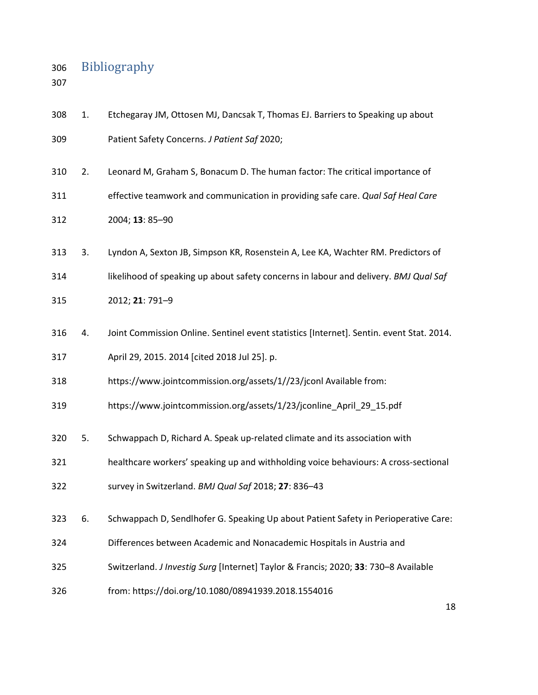# 306 Bibliography

| 308 | 1. | Etchegaray JM, Ottosen MJ, Dancsak T, Thomas EJ. Barriers to Speaking up about           |
|-----|----|------------------------------------------------------------------------------------------|
| 309 |    | Patient Safety Concerns. J Patient Saf 2020;                                             |
| 310 | 2. | Leonard M, Graham S, Bonacum D. The human factor: The critical importance of             |
| 311 |    | effective teamwork and communication in providing safe care. Qual Saf Heal Care          |
| 312 |    | 2004; 13: 85-90                                                                          |
| 313 | 3. | Lyndon A, Sexton JB, Simpson KR, Rosenstein A, Lee KA, Wachter RM. Predictors of         |
| 314 |    | likelihood of speaking up about safety concerns in labour and delivery. BMJ Qual Saf     |
| 315 |    | 2012; 21: 791-9                                                                          |
| 316 | 4. | Joint Commission Online. Sentinel event statistics [Internet]. Sentin. event Stat. 2014. |
| 317 |    | April 29, 2015. 2014 [cited 2018 Jul 25]. p.                                             |
| 318 |    | https://www.jointcommission.org/assets/1//23/jconl Available from:                       |
| 319 |    | https://www.jointcommission.org/assets/1/23/jconline_April_29_15.pdf                     |
| 320 | 5. | Schwappach D, Richard A. Speak up-related climate and its association with               |
| 321 |    | healthcare workers' speaking up and withholding voice behaviours: A cross-sectional      |
| 322 |    | survey in Switzerland. BMJ Qual Saf 2018; 27: 836-43                                     |
| 323 | 6. | Schwappach D, Sendlhofer G. Speaking Up about Patient Safety in Perioperative Care:      |
| 324 |    | Differences between Academic and Nonacademic Hospitals in Austria and                    |
| 325 |    | Switzerland. J Investig Surg [Internet] Taylor & Francis; 2020; 33: 730-8 Available      |
| 326 |    | from: https://doi.org/10.1080/08941939.2018.1554016                                      |
|     |    | 18                                                                                       |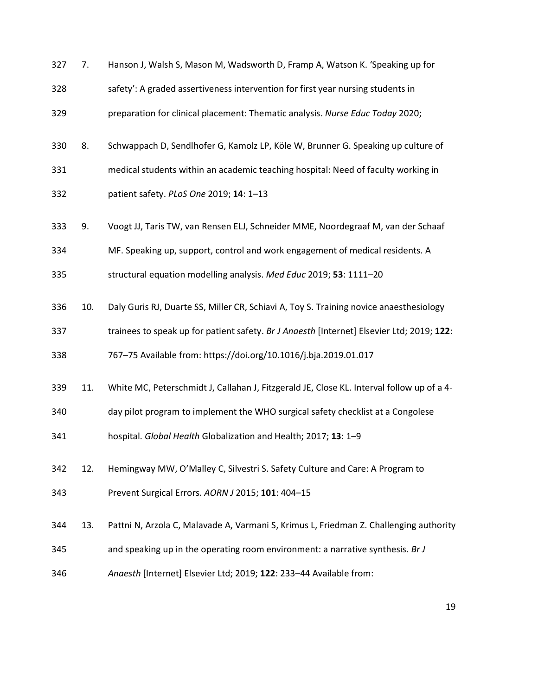| 327 | 7.  | Hanson J, Walsh S, Mason M, Wadsworth D, Framp A, Watson K. 'Speaking up for              |
|-----|-----|-------------------------------------------------------------------------------------------|
| 328 |     | safety': A graded assertiveness intervention for first year nursing students in           |
| 329 |     | preparation for clinical placement: Thematic analysis. Nurse Educ Today 2020;             |
| 330 | 8.  | Schwappach D, Sendlhofer G, Kamolz LP, Köle W, Brunner G. Speaking up culture of          |
| 331 |     | medical students within an academic teaching hospital: Need of faculty working in         |
| 332 |     | patient safety. PLoS One 2019; 14: 1-13                                                   |
| 333 | 9.  | Voogt JJ, Taris TW, van Rensen ELJ, Schneider MME, Noordegraaf M, van der Schaaf          |
| 334 |     | MF. Speaking up, support, control and work engagement of medical residents. A             |
| 335 |     | structural equation modelling analysis. Med Educ 2019; 53: 1111-20                        |
| 336 | 10. | Daly Guris RJ, Duarte SS, Miller CR, Schiavi A, Toy S. Training novice anaesthesiology    |
| 337 |     | trainees to speak up for patient safety. Br J Anaesth [Internet] Elsevier Ltd; 2019; 122: |
| 338 |     | 767-75 Available from: https://doi.org/10.1016/j.bja.2019.01.017                          |
| 339 | 11. | White MC, Peterschmidt J, Callahan J, Fitzgerald JE, Close KL. Interval follow up of a 4- |
| 340 |     | day pilot program to implement the WHO surgical safety checklist at a Congolese           |
| 341 |     | hospital. Global Health Globalization and Health; 2017; 13: 1-9                           |
| 342 | 12. | Hemingway MW, O'Malley C, Silvestri S. Safety Culture and Care: A Program to              |
| 343 |     | Prevent Surgical Errors. AORN J 2015; 101: 404-15                                         |
| 344 | 13. | Pattni N, Arzola C, Malavade A, Varmani S, Krimus L, Friedman Z. Challenging authority    |
| 345 |     | and speaking up in the operating room environment: a narrative synthesis. Br J            |
| 346 |     | Anaesth [Internet] Elsevier Ltd; 2019; 122: 233-44 Available from:                        |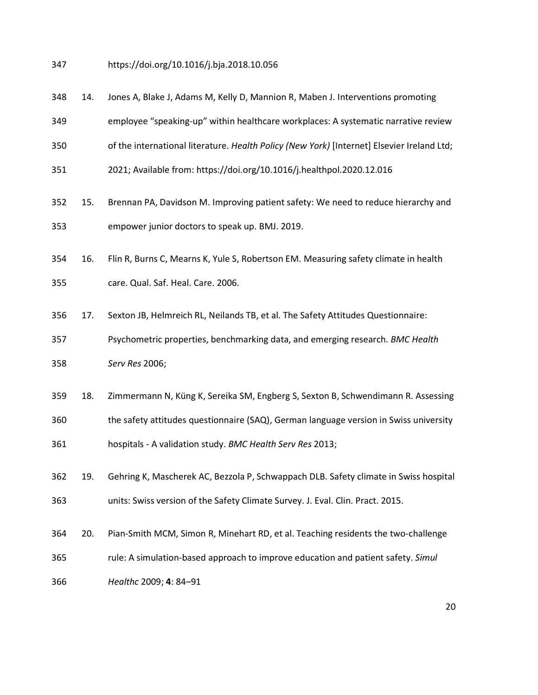- 347 https://doi.org/10.1016/j.bja.2018.10.056
- 348 14. Jones A, Blake J, Adams M, Kelly D, Mannion R, Maben J. Interventions promoting
- 349 employee "speaking-up" within healthcare workplaces: A systematic narrative review
- 350 of the international literature. Health Policy (New York) [Internet] Elsevier Ireland Ltd;
- 351 2021; Available from: https://doi.org/10.1016/j.healthpol.2020.12.016
- 352 15. Brennan PA, Davidson M. Improving patient safety: We need to reduce hierarchy and 353 empower junior doctors to speak up. BMJ. 2019.
- 354 16. Flin R, Burns C, Mearns K, Yule S, Robertson EM. Measuring safety climate in health 355 care. Qual. Saf. Heal. Care. 2006.
- 356 17. Sexton JB, Helmreich RL, Neilands TB, et al. The Safety Attitudes Questionnaire:
- 357 Psychometric properties, benchmarking data, and emerging research. BMC Health 358 Serv Res 2006;
- 359 18. Zimmermann N, Küng K, Sereika SM, Engberg S, Sexton B, Schwendimann R. Assessing 360 the safety attitudes questionnaire (SAQ), German language version in Swiss university 361 hospitals - A validation study. BMC Health Serv Res 2013;
- 362 19. Gehring K, Mascherek AC, Bezzola P, Schwappach DLB. Safety climate in Swiss hospital 363 units: Swiss version of the Safety Climate Survey. J. Eval. Clin. Pract. 2015.
- 364 20. Pian-Smith MCM, Simon R, Minehart RD, et al. Teaching residents the two-challenge
- 365 rule: A simulation-based approach to improve education and patient safety. Simul
- 366 Healthc 2009; 4: 84–91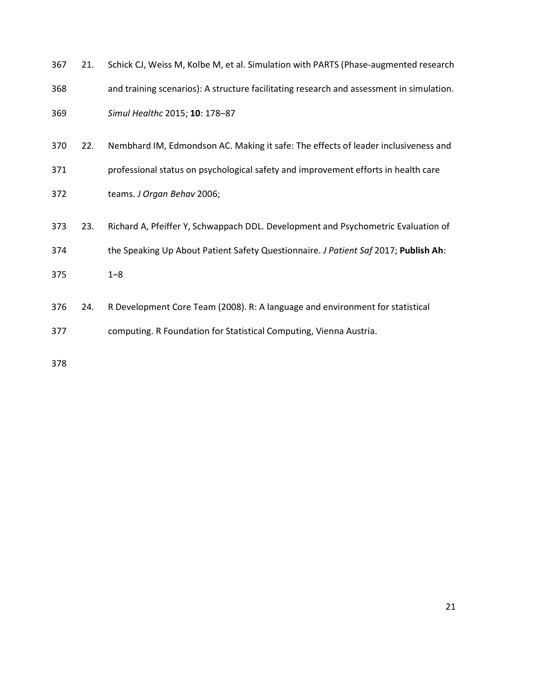| 367 | 21. | Schick CJ, Weiss M, Kolbe M, et al. Simulation with PARTS (Phase-augmented research      |
|-----|-----|------------------------------------------------------------------------------------------|
| 368 |     | and training scenarios): A structure facilitating research and assessment in simulation. |
| 369 |     | Simul Healthc 2015; 10: 178-87                                                           |
| 370 | 22. | Nembhard IM, Edmondson AC. Making it safe: The effects of leader inclusiveness and       |
| 371 |     | professional status on psychological safety and improvement efforts in health care       |
| 372 |     | teams. J Organ Behav 2006;                                                               |
| 373 | 23. | Richard A, Pfeiffer Y, Schwappach DDL. Development and Psychometric Evaluation of        |
| 374 |     | the Speaking Up About Patient Safety Questionnaire. J Patient Saf 2017; Publish Ah:      |
| 375 |     | $1 - 8$                                                                                  |
| 376 | 24. | R Development Core Team (2008). R: A language and environment for statistical            |
| 377 |     | computing. R Foundation for Statistical Computing, Vienna Austria.                       |
|     |     |                                                                                          |